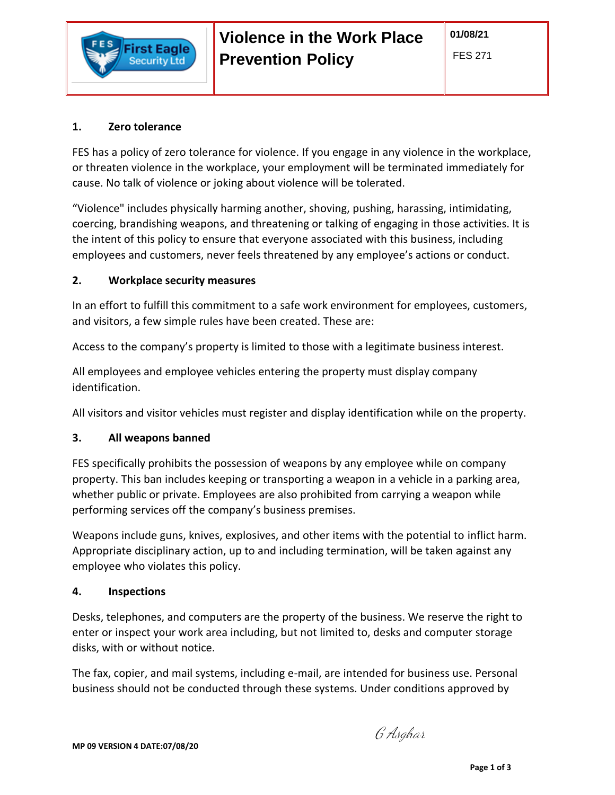

### **1. Zero tolerance**

ecurity Ltd

FES has a policy of zero tolerance for violence. If you engage in any violence in the workplace, or threaten violence in the workplace, your employment will be terminated immediately for cause. No talk of violence or joking about violence will be tolerated.

"Violence" includes physically harming another, shoving, pushing, harassing, intimidating, coercing, brandishing weapons, and threatening or talking of engaging in those activities. It is the intent of this policy to ensure that everyone associated with this business, including employees and customers, never feels threatened by any employee's actions or conduct.

# **2. Workplace security measures**

In an effort to fulfill this commitment to a safe work environment for employees, customers, and visitors, a few simple rules have been created. These are:

Access to the company's property is limited to those with a legitimate business interest.

All employees and employee vehicles entering the property must display company identification.

All visitors and visitor vehicles must register and display identification while on the property.

# **3. All weapons banned**

FES specifically prohibits the possession of weapons by any employee while on company property. This ban includes keeping or transporting a weapon in a vehicle in a parking area, whether public or private. Employees are also prohibited from carrying a weapon while performing services off the company's business premises.

Weapons include guns, knives, explosives, and other items with the potential to inflict harm. Appropriate disciplinary action, up to and including termination, will be taken against any employee who violates this policy.

# **4. Inspections**

Desks, telephones, and computers are the property of the business. We reserve the right to enter or inspect your work area including, but not limited to, desks and computer storage disks, with or without notice.

The fax, copier, and mail systems, including e-mail, are intended for business use. Personal business should not be conducted through these systems. Under conditions approved by

G Asghar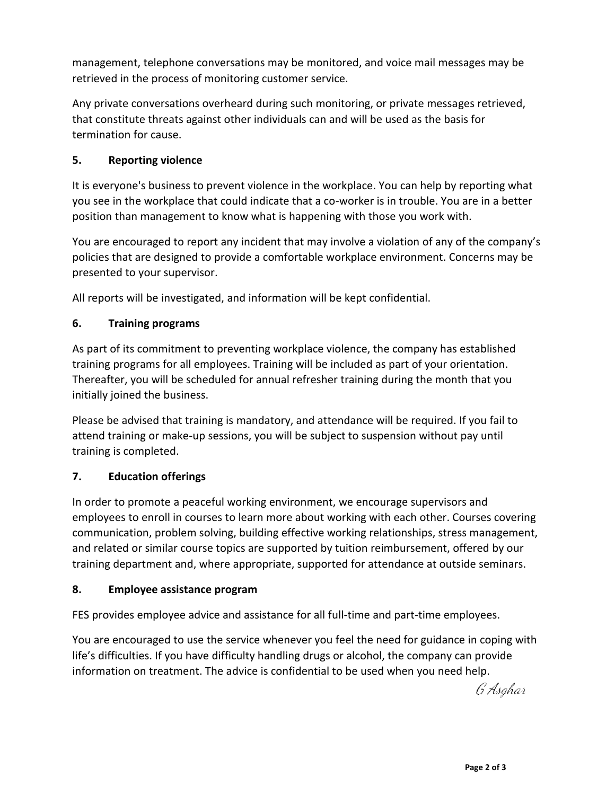management, telephone conversations may be monitored, and voice mail messages may be retrieved in the process of monitoring customer service.

Any private conversations overheard during such monitoring, or private messages retrieved, that constitute threats against other individuals can and will be used as the basis for termination for cause.

### **5. Reporting violence**

It is everyone's business to prevent violence in the workplace. You can help by reporting what you see in the workplace that could indicate that a co-worker is in trouble. You are in a better position than management to know what is happening with those you work with.

You are encouraged to report any incident that may involve a violation of any of the company's policies that are designed to provide a comfortable workplace environment. Concerns may be presented to your supervisor.

All reports will be investigated, and information will be kept confidential.

### **6. Training programs**

As part of its commitment to preventing workplace violence, the company has established training programs for all employees. Training will be included as part of your orientation. Thereafter, you will be scheduled for annual refresher training during the month that you initially joined the business.

Please be advised that training is mandatory, and attendance will be required. If you fail to attend training or make-up sessions, you will be subject to suspension without pay until training is completed.

### **7. Education offerings**

In order to promote a peaceful working environment, we encourage supervisors and employees to enroll in courses to learn more about working with each other. Courses covering communication, problem solving, building effective working relationships, stress management, and related or similar course topics are supported by tuition reimbursement, offered by our training department and, where appropriate, supported for attendance at outside seminars.

### **8. Employee assistance program**

FES provides employee advice and assistance for all full-time and part-time employees.

You are encouraged to use the service whenever you feel the need for guidance in coping with life's difficulties. If you have difficulty handling drugs or alcohol, the company can provide information on treatment. The advice is confidential to be used when you need help.

G Asghar